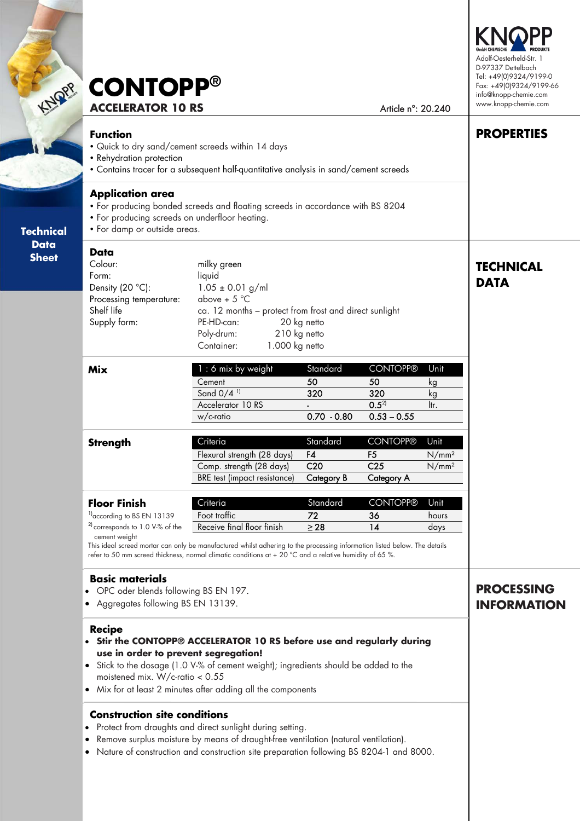| <b>RE</b> CONTOPP®       |                    |
|--------------------------|--------------------|
| <b>ACCELERATOR 10 RS</b> | Article n°: 20.240 |

#### **Function**

- Quick to dry sand/cement screeds within 14 days
- Rehydration protection
	- Contains tracer for a subsequent half-quantitative analysis in sand/cement screeds

#### **Application area**

- For producing bonded screeds and floating screeds in accordance with BS 8204
- For producing screeds on underfloor heating.
- For damp or outside areas.

#### **Data Sheet**

**Technical** 

**Technical**   $\mathcal{L}$ **Sheet** 

> **Data**  Colour: milky green Form: liquid Density (20 °C):  $1.05 \pm 0.01$  g/ml Processing temperature:  $above + 5°C$ Shelf life ca. 12 months – protect from frost and direct sunlight Supply form: PE-HD-can: 20 kg netto Poly-drum: 210 kg netto Container: 1.000 kg netto

| Mix | $1:6$ mix by weight      | Standard      | <b>CONTOPP®</b> | Unit |
|-----|--------------------------|---------------|-----------------|------|
|     | Cement                   | 50            | 50              | ĸg   |
|     | Sand $0/4$ <sup>11</sup> | 320           | 320             |      |
|     | Accelerator 10 RS        |               | $0.5^{2}$       | ltr. |
|     | w/c-ratio                | $0.70 - 0.80$ | $0.53 - 0.55$   |      |

| <b>Strength</b> | Criteria                     | Standard        | CONTOPP®        | Unit              |
|-----------------|------------------------------|-----------------|-----------------|-------------------|
|                 | Flexural strength (28 days)  | F4              | r5              | N/mm <sup>2</sup> |
|                 | Comp. strength (28 days)     | C <sub>20</sub> | C <sub>25</sub> | $N/mm^2$          |
|                 | BRE test (impact resistance) | Category B      | Category A      |                   |

| <b>Floor Finish</b>                        | Criteria                   | Standard | <b>CONTOPP®</b> | Unit  |
|--------------------------------------------|----------------------------|----------|-----------------|-------|
| $1$ according to BS EN 13139               | Foot traffic               | 77       | 36              | hours |
| <sup>2</sup> corresponds to 1.0 V-% of the | Receive final floor finish | > 28     |                 | davs  |

cement weight

This ideal screed mortar can only be manufactured whilst adhering to the processing information listed below. The details refer to 50 mm screed thickness, normal climatic conditions at + 20 °C and a relative humidity of 65 %.

### **Basic materials**

- OPC oder blends following BS EN 197.
- Aggregates following BS EN 13139.

### **Recipe**

- **Stir the CONTOPP® ACCELERATOR 10 RS before use and regularly during use in order to prevent segregation!**
- Stick to the dosage (1.0 V-% of cement weight); ingredients should be added to the moistened mix. W/c-ratio < 0.55
- Mix for at least 2 minutes after adding all the components

### **Construction site conditions**

- Protect from draughts and direct sunlight during setting.
- Remove surplus moisture by means of draught-free ventilation (natural ventilation).
- Nature of construction and construction site preparation following BS 8204-1 and 8000.

## **PROCESSING INFORMATION**



**PROPERTIES** 

**TECHNICAL** 

**DATA**